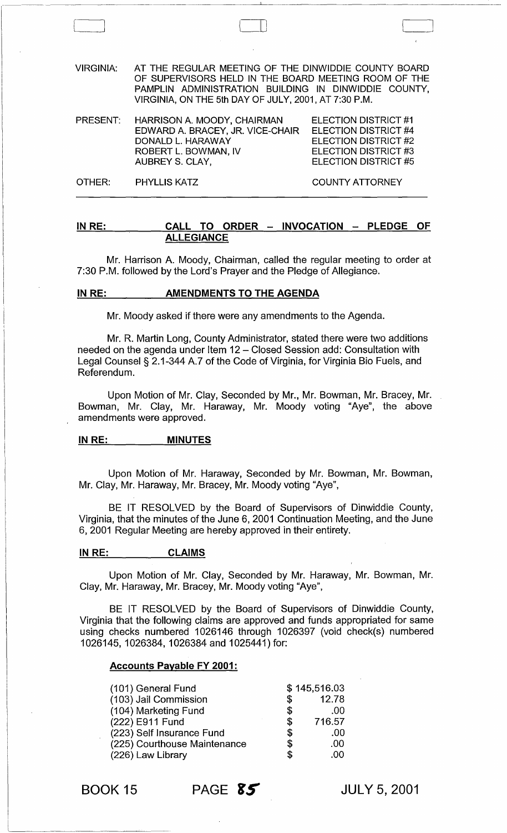VIRGINIA: AT THE REGULAR MEETING OF THE DINWIDDIE COUNTY BOARD OF SUPERVISORS HELD IN THE BOARD MEETING ROOM OF THE PAMPLIN ADMINISTRATION BUILDING IN DINWIDDIE COUNTY, VIRGINIA, ON THE 5th DAY OF JULY, 2001, AT 7:30 P.M.

 $\Box$ 

| PRESENT: | HARRISON A. MOODY, CHAIRMAN      | ELECTION DISTRICT #1        |
|----------|----------------------------------|-----------------------------|
|          | EDWARD A. BRACEY, JR. VICE-CHAIR | <b>ELECTION DISTRICT #4</b> |
|          | DONALD L. HARAWAY                | <b>ELECTION DISTRICT #2</b> |
|          | ROBERT L. BOWMAN, IV             | ELECTION DISTRICT #3        |
|          | AUBREY S. CLAY,                  | ELECTION DISTRICT #5        |
|          |                                  |                             |

OTHER: PHYLLIS KATZ COUNTY ATTORNEY

IN RE: CALL TO ORDER - INVOCATION - PLEDGE OF ALLEGIANCE

Mr. Harrison A. Moody, Chairman, called the regular meeting to order at 7:30 P.M. followed by the lord's Prayer and the Pledge of Allegiance.

#### IN RE: AMENDMENTS TO THE AGENDA

Mr. Moody asked if there were any amendments to the Agenda.

Mr. R. Martin long, County Administrator, stated there were two additions needed on the agenda under Item 12 - Closed Session add: Consultation with legal Counsel § 2.1-344 A.7 of the Code of Virginia, for Virginia Bio Fuels, and Referendum.

Upon Motion of Mr. Clay, Seconded by Mr., Mr. Bowman, Mr. Bracey, Mr. Bowman, Mr. Clay, Mr. Haraway, Mr. Moody voting "Aye", the above amendments were approved.

#### IN RE: \_\_\_\_\_\_\_\_\_ MINUTES

Upon Motion of Mr. Haraway, Seconded by Mr. Bowman, Mr. Bowman, Mr. Clay, Mr. Haraway, Mr. Bracey, Mr. Moody voting "Aye",

BE IT RESOLVED by the Board of Supervisors of Dinwiddie County, Virginia, that the minutes of the June 6, 2001 Continuation Meeting, and the June 6, 2001 Regular Meeting are hereby approved in their entirety.

#### INRE: CLAIMS

Upon Motion of Mr. Clay, Seconded by Mr. Haraway, Mr. Bowman, Mr. Clay, Mr. Haraway, Mr. Bracey, Mr. Moody voting "Aye",

BE IT RESOLVED by the Board of Supervisors of Dinwiddie County, Virginia that the following claims are approved and funds appropriated for same using checks numbered 1026146 through 1026397 (void check(s) numbered 1026145, 1026384, 1026384 and 1025441) for:

#### Accounts Payable FY 2001:

| (101) General Fund           |    | \$145,516.03 |
|------------------------------|----|--------------|
| (103) Jail Commission        | S  | 12.78        |
| (104) Marketing Fund         | \$ | .00          |
| (222) E911 Fund              | \$ | 716.57       |
| (223) Self Insurance Fund    | \$ | .00          |
| (225) Courthouse Maintenance | \$ | .00          |
| (226) Law Library            | \$ | .00          |

BOOK 15 PAGE **fS-**

JULY 5,2001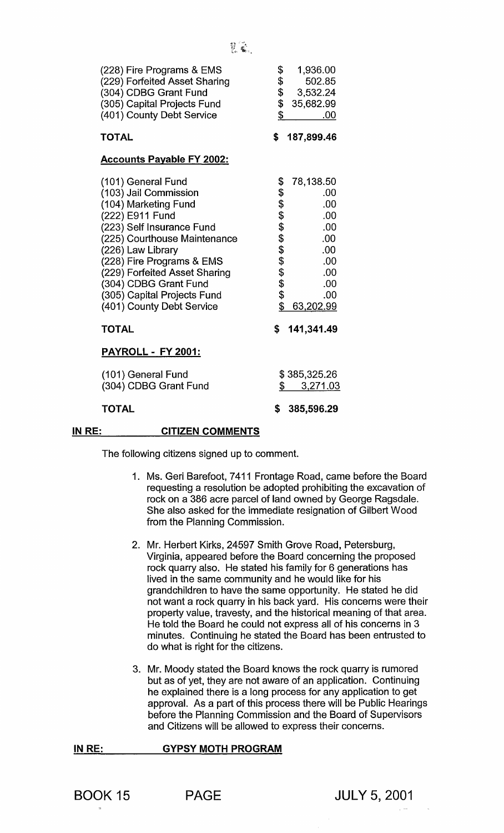| (228) Fire Programs & EMS<br>(229) Forfeited Asset Sharing<br>(304) CDBG Grant Fund<br>(305) Capital Projects Fund<br>(401) County Debt Service                                                                                                                                                                             | \$<br>1,936.00<br>\$<br>\$<br>502.85<br>3,532.24<br>\$<br>35,682.99<br>\$<br>.00                                                   |
|-----------------------------------------------------------------------------------------------------------------------------------------------------------------------------------------------------------------------------------------------------------------------------------------------------------------------------|------------------------------------------------------------------------------------------------------------------------------------|
| <b>TOTAL</b>                                                                                                                                                                                                                                                                                                                | \$<br>187,899.46                                                                                                                   |
| <b>Accounts Payable FY 2002:</b>                                                                                                                                                                                                                                                                                            |                                                                                                                                    |
| (101) General Fund<br>(103) Jail Commission<br>(104) Marketing Fund<br>(222) E911 Fund<br>(223) Self Insurance Fund<br>(225) Courthouse Maintenance<br>(226) Law Library<br>(228) Fire Programs & EMS<br>(229) Forfeited Asset Sharing<br>(304) CDBG Grant Fund<br>(305) Capital Projects Fund<br>(401) County Debt Service | \$<br>78,138.50<br>\$\$\$\$\$\$\$\$\$\$\$<br>.00<br>.00<br>.00<br>.00<br>.00<br>.00<br>.00<br>.00<br>.00<br>.00<br>\$<br>63,202.99 |
| <b>TOTAL</b>                                                                                                                                                                                                                                                                                                                | 141,341.49<br>\$                                                                                                                   |
| <b>PAYROLL - FY 2001:</b>                                                                                                                                                                                                                                                                                                   |                                                                                                                                    |
| (101) General Fund<br>(304) CDBG Grant Fund                                                                                                                                                                                                                                                                                 | \$385,325.26<br>\$<br>3,271.03                                                                                                     |
| <b>TOTAL</b>                                                                                                                                                                                                                                                                                                                | \$<br>385,596.29                                                                                                                   |

#### IN RE: CITIZEN COMMENTS

The following citizens signed up to comment.

- 1. Ms. Geri Barefoot, 7411 Frontage Road, came before the Board requesting a resolution be adopted prohibiting the excavation of rock on a 386 acre parcel of land owned by George Ragsdale. She also asked for the immediate resignation of Gilbert Wood from the Planning Commission.
- 2. Mr. Herbert Kirks, 24597 Smith Grove Road, Petersburg, Virginia, appeared before the Board concerning the proposed rock quarry also. He stated his family for 6 generations has lived in the same community and he would like for his grandchildren to have the same opportunity. He stated he did not want a rock quarry in his back yard. His concerns were their property value, travesty, and the historical meaning of that area. He told the Board he could not express all of his concerns in 3 minutes. Continuing he stated the Board has been entrusted to do what is right for the citizens.
- 3. Mr. Moody stated the Board knows the rock quarry is rumored but as of yet, they are not aware of an application. Continuing he explained there is a long process for any application to get approval. As a part of this process there will be Public Hearings before the Planning Commission and the Board of Supervisors and Citizens will be allowed to express their concerns.

IN RE: **GYPSY MOTH PROGRAM**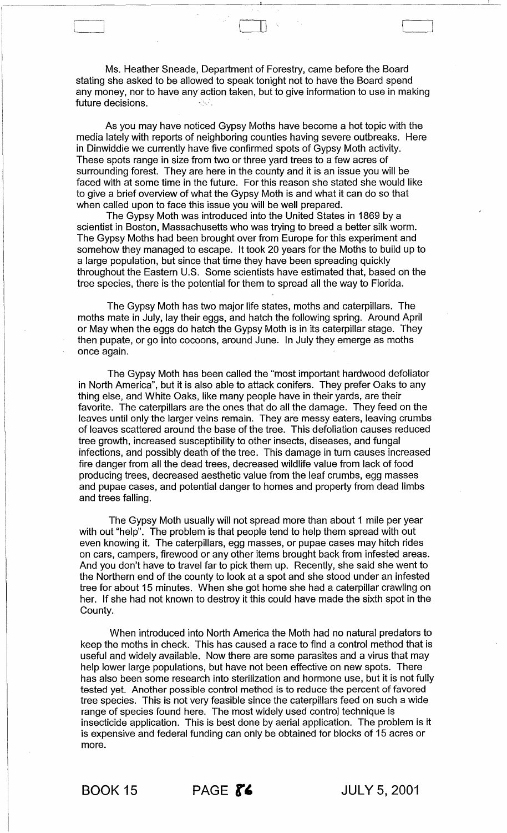Ms. Heather Sneade, Department of Forestry, came before the Board stating she asked to be allowed to speak tonight not to have the Board spend any money, nor to have any action taken, but to give information to use in making future decisions.

 $\sqcup$  .

As you may have noticed Gypsy Moths have become a hot topic with the media lately with reports of neighboring counties having severe outbreaks. Here in Dinwiddie we currently have five confirmed spots of Gypsy Moth activity. These spots range in size from two or three yard trees to a few acres of surrounding forest. They are here in the county and it is an issue you will be faced with at some time in the future. For this reason she stated she would like to give a brief overview of what the Gypsy Moth is and what it can do so that when called upon to face this issue you will be well prepared.

The Gypsy Moth was introduced into the United States in 1869 by a scientist in Boston, Massachusetts who was trying to breed a better silk worm. The Gypsy Moths had been brought over from Europe for this experiment and somehow they managed to escape. It took 20 years for the Moths to build up to a large population, but since that time they have been spreading quickly throughout the Eastern U.S. Some scientists have estimated that, based on the tree species, there is the potential for them to spread all the way to Florida.

The Gypsy Moth has two major life states, moths and caterpillars. The moths mate in July, lay their eggs, and hatch the following spring. Around April or May when the eggs do hatch the Gypsy Moth is in its caterpillar stage. They then pupate, or go into cocoons, around June. In July they emerge as moths once again.

The Gypsy Moth has been called the "most important hardwood defoliator in North America", but it is also able to attack conifers. They prefer Oaks to any thing else, and White Oaks, like many people have in their yards, are their favorite. The caterpillars are the ones that do all the damage. They feed on the leaves until only the larger veins remain. They are messy eaters, leaving crumbs of leaves scattered around the base of the tree. This defoliation causes reduced tree growth, increased susceptibility to other insects, diseases, and fungal infections, and possibly death of the tree. This damage in turn causes increased fire danger from all the dead trees, decreased wildlife value from lack of food producing trees, decreased aesthetic value from the leaf crumbs, egg masses and pupae cases, and potential danger to homes and property from dead limbs and trees falling.

The Gypsy Moth usually will not spread more than about 1 mile per year with out "help". The problem is that people tend to help them spread with out even knowing it. The caterpillars, egg masses, or pupae cases may hitch rides on cars, campers, firewood or any other items brought back from infested areas. And you don't have to travel far to pick them up. Recently, she said she went to the Northern end of the county to look at a spot and she stood under an infested tree for about 15 minutes. When she got home she had a caterpillar crawling on her. If she had not known to destroy it this could have made the sixth spot in the County.

When introduced into North America the Moth had no natural predators to keep the moths in check. This has caused a race to find a control method that is useful and widely available. Now there are some parasites and a virus that may help lower large populations, but have not been effective on new spots. There has also been some research into sterilization and hormone use, but it is not fully tested yet. Another possible control method is to reduce the percent of favored tree species. This is not very feasible since the caterpillars feed on such a wide range of species found here. The most widely used control technique is insecticide application. This is best done by aerial application. The problem is it is expensive and federal funding can only be obtained for blocks of 15 acres or more.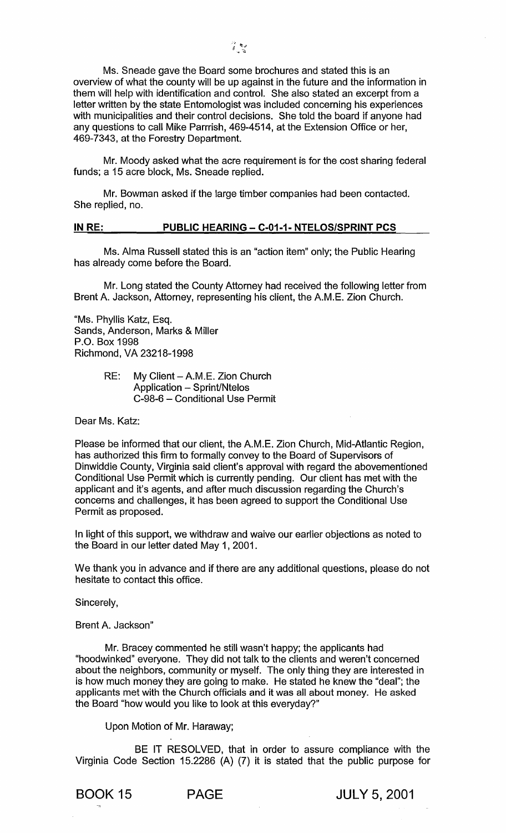Ms. Sneade gave the Board some brochures and stated this is an overview of what the county will be up against in the future and the information in them will help with identification and control. She also stated an excerpt from a letter written by the state Entomologist was included concerning his experiences with municipalities and their control decisions. She told the board if anyone had any questions to call Mike Parrrish, 469-4514, at the Extension Office or her, 469-7343, at the Forestry Department.

Mr. Moody asked what the acre requirement is for the cost sharing federal funds; a 15 acre block, Ms. Sneade replied.

Mr. Bowman asked if the large timber companies had been contacted. She replied, no.

# IN RE: PUBLIC HEARING - C-01-1- NTELOS/SPRINT PCS

Ms. Alma Russell stated this is an "action item" only; the Public Hearing has already come before the Board.

Mr. Long stated the County Attorney had received the following letter from Brent A. Jackson, Attorney, representing his client, the AM.E. Zion Church.

"Ms. Phyllis Katz, Esq. Sands, Anderson, Marks & Miller P.O. Box 1998 Richmond, VA 23218-1998

> RE: My Client - A.M.E. Zion Church Application - Sprint/Ntelos C-98-6 - Conditional Use Permit

Dear Ms. Katz:

Please be informed that our client, the AM.E. Zion Church, Mid-Atlantic Region, has authorized this firm to formally convey to the Board of Supervisors of Dinwiddie County, Virginia said client's approval with regard the abovementioned Conditional Use Permit which is currently pending. Our client has met with the applicant and it's agents, and after much discussion regarding the Church's concerns and challenges, it has been agreed to support the Conditional Use Permit as proposed.

In light of this support, we withdraw and waive our earlier objections as noted to the Board in our letter dated May 1, 2001.

We thank you in advance and if there are any additional questions, please do not hesitate to contact this office.

Sincerely,

Brent A. Jackson"

Mr. Bracey commented he still wasn't happy; the applicants had "hoodwinked" everyone. They did not talk to the clients and weren't concerned about the neighbors, community or myself. The only thing they are interested in is how much money they are going to make. He stated he knew the "deal"; the applicants met with the Church officials and it was all about money. He asked the Board "how would you like to look at this everyday?"

Upon Motion of Mr. Haraway;

BE IT RESOLVED, that in order to assure compliance with the Virginia Code Section 15.2286 (A) (7) it is stated that the public purpose for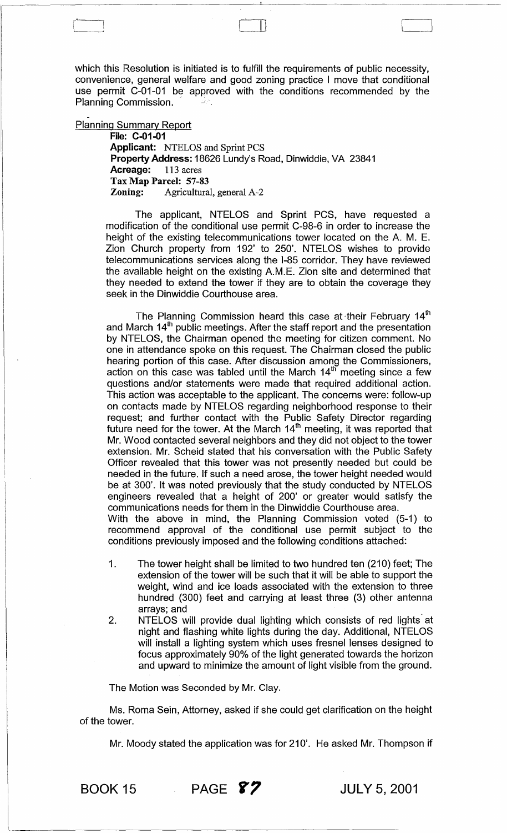which this Resolution is initiated is to fulfill the requirements of public necessity, convenience, general welfare and good zoning practice I move that conditional use permit C-01-01 be approved with the conditions recommended by the Planning Commission.

 $\vert \vert$ 

Planning Summary Report

File: C-01-01 Applicant: NTELOS and Sprint PCS Property Address: 18626 Lundy's Road, Dinwiddie, VA 23841<br>Acreage: 113 acres Acreage: Tax Map Parcel: 57-83<br>Zoning: Agricultura Agricultural, general A-2

The applicant, NTELOS and Sprint PCS, have requested a modification of the conditional use permit C-98-6 in order to increase the height of the existing telecommunications tower located on the A. M. E. Zion Church property from 192' to 250'. NTELOS wishes to provide telecommunications services along the 1-85 corridor. They have reviewed the available height on the existing A.M.E. Zion site and determined that they needed to extend the tower if they are to obtain the coverage they seek in the Dinwiddie Courthouse area.

The Planning Commission heard this case at their February  $14<sup>th</sup>$ and March 14<sup>th</sup> public meetings. After the staff report and the presentation by NTELOS, the Chairman opened the meeting for citizen comment. No one in attendance spoke on this request. The Chairman closed the public hearing portion of this case. After discussion among the Commissioners, action on this case was tabled until the March  $14<sup>th</sup>$  meeting since a few questions and/or statements were made that required additional action. This action was acceptable to the applicant. The concerns were: follow-up on contacts made by NTELOS regarding neighborhood response to their request; and further contact with the Public Safety Director regarding future need for the tower. At the March 14<sup>th</sup> meeting, it was reported that Mr. Wood contacted several neighbors and they did not object to the tower extension. Mr. Scheid stated that his conversation with the Public Safety Officer revealed that this tower was not presently needed but could be needed in the future. If such a need arose, the tower height needed would be at 300'. It was noted previously that the study conducted by NTELOS engineers revealed that a height of 200' or greater would satisfy the communications needs for them in the Dinwiddie Courthouse area. With the above in mind, the Planning Commission voted (5-1) to

recommend approval of the conditional use permit subject to the conditions previously imposed and the following conditions attached:

- 1. The tower height shall be limited to two hundred ten (210) feet; The extension of the tower will be such that it will be able to support the weight, wind and ice loads associated with the extension to three hundred (300) feet and carrying at least three (3) other antenna arrays; and \_
- 2. NTELOS will provide dual lighting which consists of red lights at night and flashing white lights during the day. Additional, NTELOS will install a lighting system which uses fresnel lenses designed to focus approximately 90% of the light generated towards the horizon and upward to minimize the amount of light visible from the ground.

The Motion was Seconded by Mr. Clay.

Ms. Roma Sein, Attorney, asked if she could get clarification on the height of the tower.

Mr. Moody stated the application was for 210'. He asked Mr. Thompson if



-------------------------------------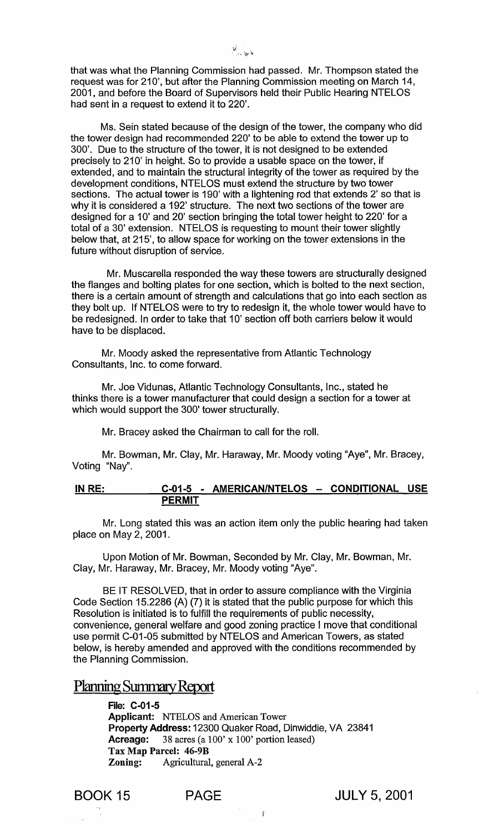that was what the Planning Commission had passed. Mr. Thompson stated the request was for 210', but after the Planning Commission meeting on March 14, 2001, and before the Board of Supervisors held their Public Hearing NTELOS had sent in a request to extend it to 220'.

Ms. Sein stated because of the design of the tower, the company who did the tower design had recommended 220' to be able to extend the tower up to 300'. Due to the structure of the tower, it is not designed to be extended precisely to 210' in height. So to provide a usable space on the tower, if extended, and to maintain the structural integrity of the tower as required by the development conditions, NTELOS must extend the structure by two tower sections. The actual tower is 190' with a lightening rod that extends 2' so that is why it is considered a 192' structure. The next two sections of the tower are designed for a 10' and 20' section bringing the total tower height to 220' for a total of a 30' extension. NTELOS is requesting to mount their tower slightly below that, at 215', to allow space for working on the tower extensions in the future without disruption of service.

Mr. Muscarella responded the way these towers are structurally designed the flanges and bolting plates for one section, which is bolted to the next section, there is a certain amount of strength and calculations that go into each section as they bolt up. If NTELOS were to try to redesign it, the whole tower would have to be redesigned. In order to take that 10' section off both carriers below it would have to be displaced.

Mr. Moody asked the representative from Atlantic Technology Consultants, Inc. to come forward.

Mr. Joe Vidunas, Atlantic Technology Consultants, Inc., stated he thinks there is a tower manufacturer that could design a section for a tower at which would support the 300' tower structurally.

Mr. Bracey asked the Chairman to call for the roll.

Mr. Bowman, Mr. Clay, Mr. Haraway, Mr. Moody voting "Aye", Mr. Bracey, Voting "Nay".

# IN RE: C-01-5 - AMERICAN/NTELOS - CONDITIONAL USE PERMIT

Mr. Long stated this was an action item only the public hearing had taken place on May 2, 2001.

Upon Motion of Mr. Bowman, Seconded by Mr. Clay, Mr. Bowman, Mr. Clay, Mr. Haraway, Mr. Bracey, Mr. Moody voting "Aye".

BE IT RESOLVED, that in order to assure compliance with the Virginia Code Section 15.2286 (A) (7) it is stated that the public purpose for which this Resolution is initiated is to fulfill the requirements of public necessity, convenience, general welfare and good zoning practice I move that conditional use permit C-01-05 submitted by NTELOS and American Towers, as stated below, is hereby amended and approved with the conditions recommended by the Planning Commission.

# Planning Summary Report

File: C-01-5 Applicant: NTELOS and American Tower Property Address: 12300 Quaker Road, Dinwiddie, VA 23841 Acreage: 38 acres (a 100' x 100' portion leased) Tax Map Parcel: 46-9B Zoning: Agricultural, general A-2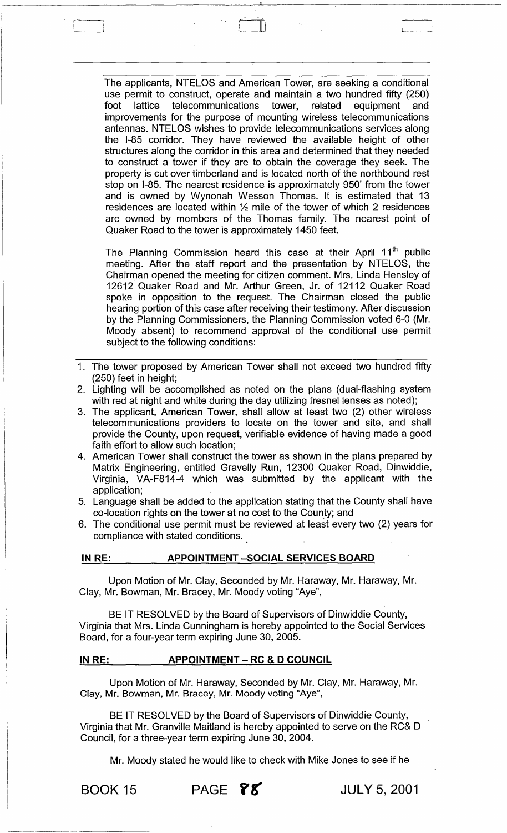The applicants, NTELOS and American Tower, are seeking a conditional use permit to construct, operate and maintain a two hundred fifty (250)<br>foot lattice telecommunications tower, related equipment and foot lattice telecommunications tower, related equipment and improvements for the purpose of mounting wireless telecommunications antennas. NTELOS wishes to provide telecommunications services along the 1-85 corridor. They have reviewed the available height of other structures along the corridor in this area and determined that they needed to construct a tower if they are to obtain the coverage they seek. The property is cut over timberland and is located north of the northbound rest stop on 1-85. The nearest residence is approximately 950' from the tower and is owned by Wynonah Wesson Thomas. It is estimated that 13 residences are located within 1/2 mile of the tower of which 2 residences are owned by members of the Thomas family. The nearest point of Quaker Road to the tower is approximately 1450 feet.

--~---~---c---------------

The Planning Commission heard this case at their April 11<sup>th</sup> public meeting. After the staff report and the presentation by NTELOS, the Chairman opened the meeting for citizen comment. Mrs. Linda Hensley of 12612 Quaker Road and Mr. Arthur Green, Jr. of 12112 Quaker Road spoke in opposition to the request. The Chairman closed the public hearing portion of this case after receiving their testimony. After discussion by the Planning Commissioners, the Planning Commission voted 6-0 (Mr. Moody absent) to recommend approval of the conditional use permit subject to the following conditions:

- 1. The tower proposed by American Tower shall not exceed two hundred fifty (250) feet in height;
- 2. Lighting will be accomplished as noted on the plans (dual-flashing system with red at night and white during the day utilizing fresnel lenses as noted);
- 3. The applicant, American Tower, shall allow at least two (2) other wireless telecommunications providers to locate on the tower and site, and shall provide the County, upon request, verifiable evidence of having made a good faith effort to allow such location;
- 4. American Tower shall construct the tower as shown in the plans prepared by Matrix Engineering, entitled Gravelly Run, 12300 Quaker Road, Dinwiddie, Virginia, VA-F814-4 which was submitted by the applicant with the application;
- 5. Language shall be added to the application stating that the County shall have co-location rights on the tower at no cost to the County; and
- 6. The conditional use permit must be reviewed at least every two (2) years for compliance with stated conditions.

### INRE: APPOINTMENT -SOCIAL SERVICES BOARD

Upon Motion of Mr. Clay, Seconded by Mr. Haraway, Mr. Haraway, Mr. Clay, Mr. Bowman, Mr. Bracey, Mr. Moody voting "Aye",

BE IT RESOLVED by the Board of Supervisors of Dinwiddie County, Virginia that Mrs. Linda Cunningham is hereby appointed to the Social Services Board, for a four-year term expiring June 30, 2005.

### IN RE: APPOINTMENT – RC & D COUNCIL

Upon Motion of Mr. Haraway, Seconded by Mr. Clay, Mr. Haraway, Mr. Clay, Mr. Bowman, Mr. Bracey, Mr. Moody voting "Aye",

BE IT RESOLVED by the Board of Supervisors of Dinwiddie County, Virginia that Mr. Granville Maitland is hereby appointed to serve on the RC& D Council, for a three-year term expiring June 30, 2004.

Mr. Moody stated he would like to check with Mike Jones to see if he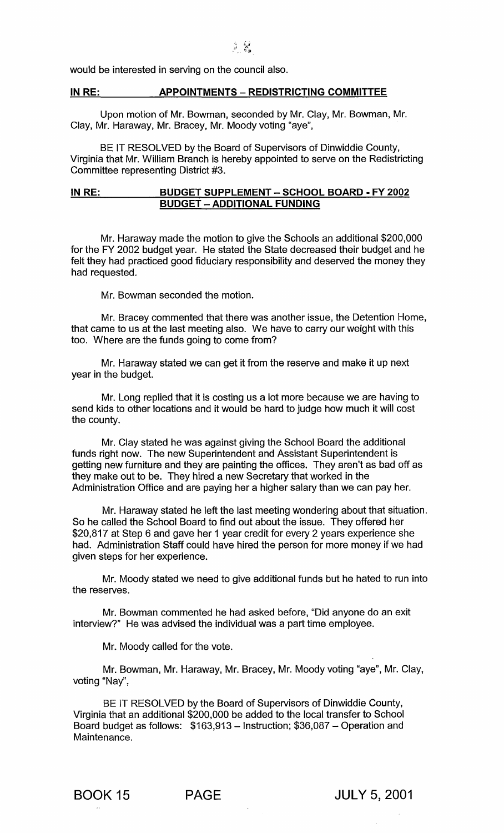would be interested in serving on the council also.

# IN RE: APPOINTMENTS - REDISTRICTING COMMITTEE

Upon motion of Mr. Bowman, seconded by Mr. Clay, Mr. Bowman, Mr. Clay, Mr. Haraway, Mr. Bracey, Mr. Moody voting "aye",

BE IT RESOLVED by the Board of Supervisors of Dinwiddie County, Virginia that Mr. William Branch is hereby appointed to serve on the Redistricting Committee representing District #3.

# IN RE: BUDGET SUPPLEMENT - SCHOOL BOARD - FY 2002 BUDGET - ADDITIONAL FUNDING

Mr. Haraway made the motion to give the Schools an additional \$200,000 for the FY 2002 budget year. He stated the State decreased their budget and he felt they had practiced good fiduciary responsibility and deserved the money they had requested.

Mr. Bowman seconded the motion.

Mr. Bracey commented that there was another issue, the Detention Home, that came to us at the last meeting also. We have to carry our weight with this too. Where are the funds going to come from?

Mr. Haraway stated we can get it from the reserve and make it up next year in the budget.

Mr. Long replied that it is costing us a lot more because we are having to send kids to other locations and it would be hard to judge how much it will cost the county.

Mr. Clay stated he was against giving the School Board the additional funds right now. The new Superintendent and Assistant Superintendent is getting new furniture and they are painting the offices. They aren't as bad off as they make out to be. They hired a new Secretary that worked in the Administration Office and are paying her a higher salary than we can pay her.

Mr. Haraway stated he left the last meeting wondering about that situation. So he called the School Board to find out about the issue. They offered her \$20,817 at Step 6 and gave her 1 year credit for every 2 years experience she had. Administration Staff could have hired the person for more money if we had given steps for her experience.

Mr. Moody stated we need to give additional funds but he hated to run into the reserves.

Mr. Bowman commented he had asked before, "Did anyone do an exit interview?" He was advised the individual was a part time employee.

Mr. Moody called for the vote.

Mr. Bowman, Mr. Haraway, Mr. Bracey, Mr. Moody voting "aye", Mr. Clay, voting "Nay",

BE IT RESOLVED by the Board of Supervisors of Dinwiddie County, Virginia that an additional \$200,000 be added to the local transfer to School Board budget as follows:  $$163,913 -$  Instruction; \$36,087 - Operation and Maintenance.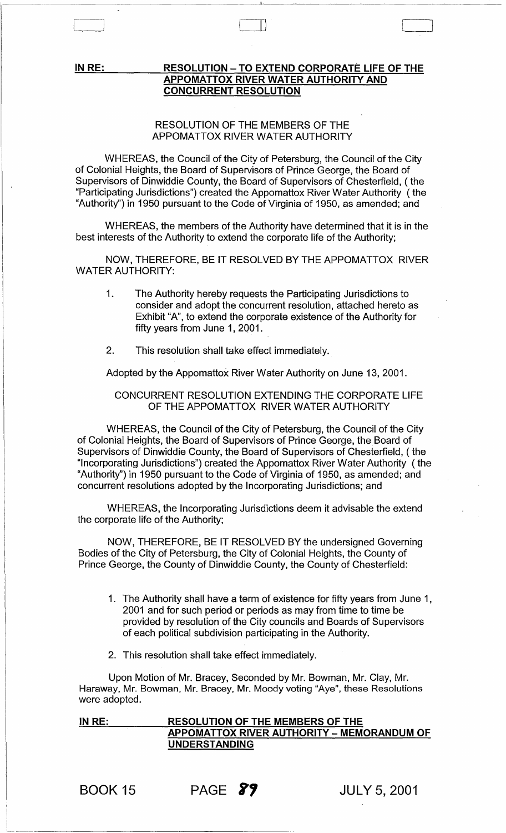IN RE:

# RESOLUTION - TO EXTEND CORPORATE LIFE OF THE APPOMATTOX RIVER WATER AUTHORITY AND CONCURRENT RESOLUTION

 $\prod$ 

# RESOLUTION OF THE MEMBERS OF THE APPOMATTOX RIVER WATER AUTHORITY

 $\Box$ 

WHEREAS, the Council of the City of Petersburg, the Council of the City of Colonial Heights, the Board of Supervisors of Prince George, the Board of Supervisors of Dinwiddie County, the Board of Supervisors of Chesterfield, (the "Participating Jurisdictions") created the Appomattox River Water Authority (the "Authority") in 1950 pursuant to the Code of Virginia of 1950, as amended; and

WHEREAS, the members of the Authority have determined that it is in the best interests of the Authority to extend the corporate life of the Authority;

NOW, THEREFORE, BE IT RESOLVED BY THE APPOMATTOX RIVER WATER AUTHORITY:

- 1. The Authority hereby requests the Participating Jurisdictions to consider and adopt the concurrent resolution, attached hereto as Exhibit "A", to extend the corporate existence of the Authority for fifty years from June 1, 2001.
- 2. This resolution shall take effect immediately.

Adopted by the Appomattox River Water Authority on June 13, 2001.

# CONCURRENT RESOLUTION EXTENDING THE CORPORATE LIFE OF THE APPOMATTOX RIVER WATER AUTHORITY

WHEREAS, the Council of the City of Petersburg, the Council of the City of Colonial Heights, the Board of Supervisors of Prince George, the Board of Supervisors of Dinwiddie County, the Board of Supervisors of Chesterfield, ( the "Incorporating Jurisdictions") created the Appomattox River Water Authority (the "Authority") in 1950 pursuant to the Code of Virginia of 1950, as amended; and concurrent resolutions adopted by the Incorporating Jurisdictions; and

WHEREAS, the Incorporating Jurisdictions deem it advisable the extend the corporate life of the Authority;

NOW, THEREFORE, BE IT RESOLVED BY the undersigned Governing Bodies of the City of Petersburg, the City of Colonial Heights, the County of Prince George, the County of Dinwiddie County, the County of Chesterfield:

- 1. The Authority shall have a term of existence for fifty years from June 1, 2001 and for such period or periods as may from time to time be provided by resolution of the City councils and Boards of Supervisors of each political subdivision participating in the Authority.
- 2. This resolution shall take effect immediately.

Upon Motion of Mr. Bracey, Seconded by Mr. Bowman, Mr. Clay, Mr. Haraway, Mr. Bowman, Mr. Bracey, Mr. Moody voting "Aye", these Resolutions were adopted.

IN RE: RESOLUTION OF THE MEMBERS OF THE APPOMATTOX RIVER AUTHORITY - MEMORANDUM OF UNDERSTANDING

------------------------------

PAGE **y,** JULY 5,2001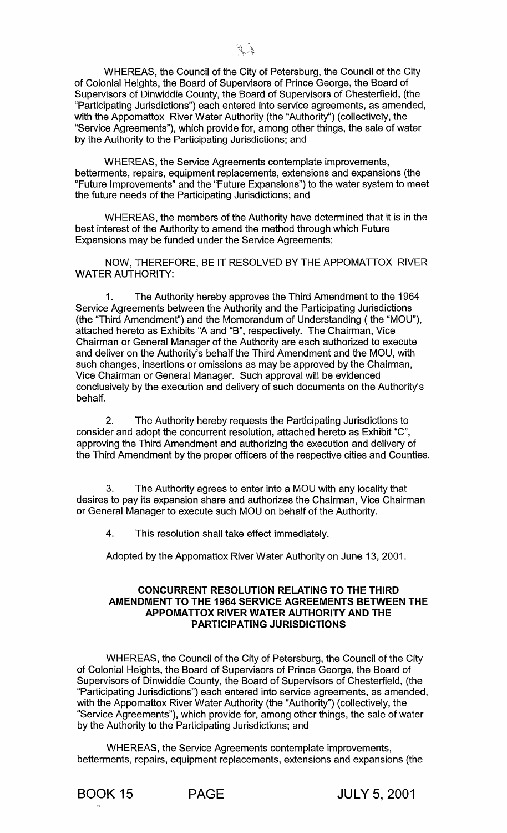WHEREAS, the Council of the City of Petersburg, the Council of the City of Colonial Heights, the Board of Supervisors of Prince George, the Board of Supervisors of Dinwiddie County, the Board of Supervisors of Chesterfield, (the "Participating Jurisdictions") each entered into service agreements, as amended, with the Appomattox River Water Authority (the "Authority") (collectively, the "Service Agreements"), which provide for, among other things, the sale of water by the Authority to the Participating Jurisdictions; and

WHEREAS, the Service Agreements contemplate improvements, betterments, repairs, equipment replacements, extensions and expansions (the "Future Improvements" and the "Future Expansions") to the water system to meet the future needs of the Participating Jurisdictions; and

WHEREAS, the members of the Authority have determined that it is in the best interest of the Authority to amend the method through which Future Expansions may be funded under the Service Agreements:

NOW, THEREFORE, BE IT RESOLVED BY THE APPOMATTOX RIVER WATER AUTHORITY:

1. The Authority hereby approves the Third Amendment to the 1964 Service Agreements between the Authority and the Participating Jurisdictions (the "Third Amendment") and the Memorandum of Understanding ( the "MOU"), attached hereto as Exhibits "A and "B", respectively. The Chairman, Vice Chairman or General Manager of the Authority are each authorized to execute and deliver on the Authority's behalf the Third Amendment and the MOU, with such changes, insertions or omissions as may be approved by the Chairman, Vice Chairman or General Manager. Such approval will be evidenced conclusively by the execution and delivery of such documents on the Authority's behalf.

2. The Authority hereby requests the Participating Jurisdictions to consider and adopt the concurrent resolution, attached hereto as Exhibit "C", approving the Third Amendment and authorizing the execution and delivery of the Third Amendment by the proper officers of the respective cities and Counties.

3. The Authority agrees to enter into a MOU with any locality that desires to pay its expansion share and authorizes the Chairman, Vice Chairman or General Manager to execute such MOU on behalf of the Authority.

4. This resolution shall take effect immediately.

Adopted by the Appomattox River Water Authority on June 13, 2001.

# **CONCURRENT RESOLUTION RELATING TO THE THIRD AMENDMENT TO THE 1964 SERVICE AGREEMENTS BETWEEN THE APPOMATTOX RIVER WATER AUTHORITY AND THE PARTICIPATING JURISDICTIONS**

WHEREAS, the Council of the City of Petersburg, the Council of the City of Colonial Heights, the Board of Supervisors of Prince George, the Board of Supervisors of Dinwiddie County, the Board of Supervisors of Chesterfield, (the "Participating Jurisdictions") each entered into service agreements, as amended, with the Appomattox River Water Authority (the "Authority") (collectively, the "Service Agreements"), which provide for, among other things, the sale of water by the Authority to the Participating Jurisdictions; and

WHEREAS, the Service Agreements contemplate improvements, betterments, repairs, equipment replacements, extensions and expansions (the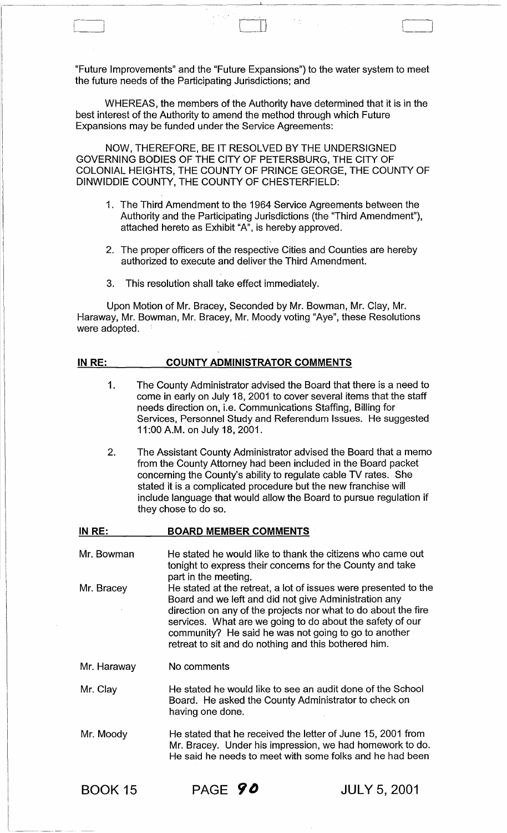"Future Improvements" and the "Future Expansions") to the water system to meet the future needs of the Participating Jurisdictions; and

WHEREAS, the members of the Authority have determined that it is in the best interest of the Authority to amend the method through which Future Expansions may be funded under the Service Agreements:

NOW, THEREFORE, BE IT RESOLVED BYTHE UNDERSIGNED GOVERNING BODIES OF THE CITY OF PETERSBURG, THE CITY OF COLONIAL HEIGHTS, THE COUNTY OF PRINCE GEORGE, THE COUNTY OF DINWIDDIE COUNTY, THE COUNTY OF CHESTERFIELD:

- 1. The Third Amendment to the 1964 Service Agreements between the Authority and the Participating Jurisdictions (the "Third Amendment"), attached hereto as Exhibit "A", is hereby approved.
- 2. The proper officers of the respective Cities and Counties are hereby authorized to execute and deliver the Third Amendment.
- 3. This resolution shall take effect immediately.

Upon Motion of Mr. Bracey, Seconded by Mr. Bowman, Mr. Clay, Mr. Haraway, Mr. Bowman, Mr. Bracey, Mr. Moody voting "Aye", these Resolutions were adopted.

# IN RE: COUNTY ADMINISTRATOR COMMENTS

- 1. The County Administrator advised the Board that there is a need to come in early on July 18, 2001 to cover several items that the staff needs direction on, i.e. Communications Staffing, Billing for Services, Personnel Study and Referendum Issues. He suggested 11 :00 A.M. on July 18, 2001.
- 2. The Assistant County Administrator advised the Board that a memo from the County Attorney had been included in the Board packet concerning the County's ability to regulate cable TV rates. She stated it is a complicated procedure but the new franchise will include language that would allow the Board to pursue regulation if they chose to do so.

| IN RE:      | <b>BOARD MEMBER COMMENTS</b>                                                                                                                                                                                                                                                                                                                                            |
|-------------|-------------------------------------------------------------------------------------------------------------------------------------------------------------------------------------------------------------------------------------------------------------------------------------------------------------------------------------------------------------------------|
| Mr. Bowman  | He stated he would like to thank the citizens who came out<br>tonight to express their concerns for the County and take<br>part in the meeting.                                                                                                                                                                                                                         |
| Mr. Bracey  | He stated at the retreat, a lot of issues were presented to the<br>Board and we left and did not give Administration any<br>direction on any of the projects nor what to do about the fire<br>services. What are we going to do about the safety of our<br>community? He said he was not going to go to another<br>retreat to sit and do nothing and this bothered him. |
| Mr. Haraway | No comments                                                                                                                                                                                                                                                                                                                                                             |
| Mr. Clay    | He stated he would like to see an audit done of the School<br>Board. He asked the County Administrator to check on<br>having one done.                                                                                                                                                                                                                                  |
| Mr. Moody   | He stated that he received the letter of June 15, 2001 from<br>Mr. Bracey. Under his impression, we had homework to do.<br>He said he needs to meet with some folks and he had been                                                                                                                                                                                     |

 $\begin{array}{ccc} \overline{ \phantom{a}} & & \overline{ \phantom{a}} & \overline{ \phantom{a}} & \overline{ \phantom{a}} & \overline{ \phantom{a}} & \overline{ \phantom{a}} & \overline{ \phantom{a}} & \overline{ \phantom{a}} & \overline{ \phantom{a}} & \overline{ \phantom{a}} & \overline{ \phantom{a}} & \overline{ \phantom{a}} & \overline{ \phantom{a}} & \overline{ \phantom{a}} & \overline{ \phantom{a}} & \overline{ \phantom{a}} & \overline{ \phantom{a}} & \overline{ \phantom{a}} & \overline{ \phantom{a}} & \overline$ 

 $\blacksquare$ 

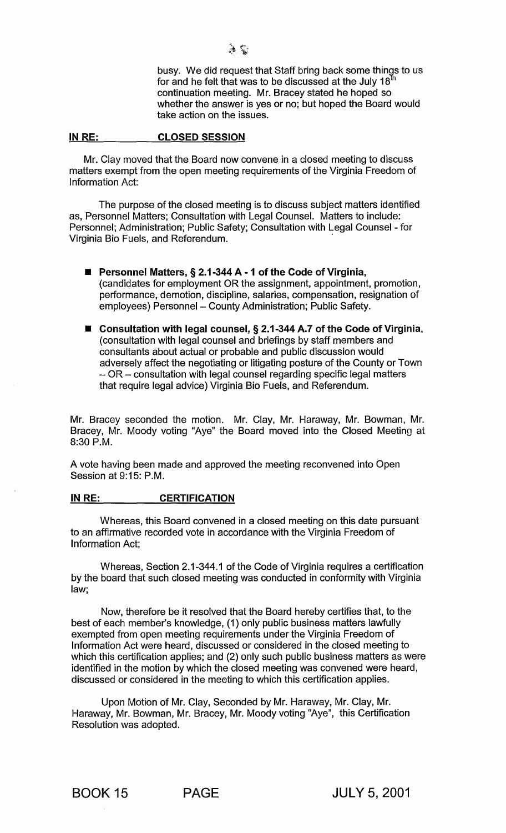busy. We did request that Staff bring back some things to us for and he felt that was to be discussed at the July  $18<sup>t</sup>$ continuation meeting. Mr. Bracey stated he hoped so whether the answer is yes or no; but hoped the Board would take action on the issues.

#### IN RE: CLOSED SESSION

Mr. Clay moved that the Board now convene in a closed meeting to discuss matters exempt from the open meeting requirements of the Virginia Freedom of Information Act:

The purpose of the closed meeting is to discuss subject matters identified as, Personnel Matters; Consultation with Legal Counsel. Matters to include: Personnel; Administration; Public Safety; Consultation with Legal Counsel - for Virginia Bio Fuels, and Referendum. .

- Personnel Matters, § 2.1-344 A 1 of the Code of Virginia, (candidates for employment OR the assignment, appointment, promotion, performance, demotion, discipline, salaries, compensation, resignation of employees) Personnel - County Administration; Public Safety.
- Consultation with legal counsel, § 2.1-344 A.7 of the Code of Virginia, (consultation with legal counsel and briefings by staff members and consultants about actual or probable and public discussion would adversely affect the negotiating or litigating posture of the County or Town - OR - consultation with legal counsel regarding specific legal matters that require legal advice) Virginia Bio Fuels, and Referendum.

Mr. Bracey seconded the motion. Mr. Clay, Mr. Haraway, Mr. Bowman, Mr. Bracey, Mr. Moody voting "Aye" the Board moved into the Closed Meeting at 8:30 P.M.

A vote having been made and approved the meeting reconvened into Open Session at 9:15: P.M.

# IN RE: CERTIFICATION

Whereas, this Board convened in a closed meeting on this date pursuant to an affirmative recorded vote in accordance with the Virginia Freedom of Information Act;

Whereas, Section 2.1-344.1 of the Code of Virginia requires a certification by the board that such closed meeting was conducted in conformity with Virginia law;

Now, therefore be it resolved that the Board hereby certifies that, to the best of each member's knowledge, (1) only public business matters lawfully exempted from open meeting requirements under the Virginia Freedom of Information Act were heard, discussed or considered in the closed meeting to which this certification applies; and (2) only such public business matters as were identified in the motion by which the closed meeting was convened were heard, discussed or considered in the meeting to which this certification applies.

Upon Motion of Mr. Clay, Seconded by Mr. Haraway, Mr. Clay, Mr. Haraway, Mr. Bowman, Mr. Bracey, Mr. Moody voting "Aye", this Certification Resolution was adopted.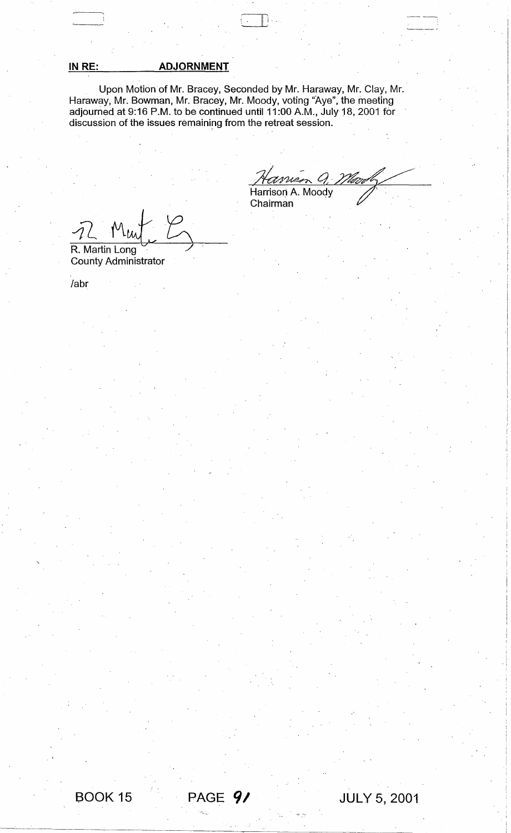# **IN RE: ADJORNMENT**

--'---~, OJ,

Upon Motion of Mr. Bracey, Seconded by Mr. Haraway, Mr. Clay, Mr. Haraway, Mr. Bowman, Mr. Bracey, Mr. Moody, voting "Aye", the meeting adjourned at 9:16 P.M. to be continued until 11:00 A.M., July 18, 2001 for discussion of the issues remaining from the retreat session.

 $Q_{\cdot}$ <u> Vlav</u>i Harrison A. Moody Chairman

**JULY 5,2001** 

, ,

 $7L$  Mw

BOOK 15 **PAGE** *91* 

"'I. ~'.

R. Martin Long County Administrator

labr